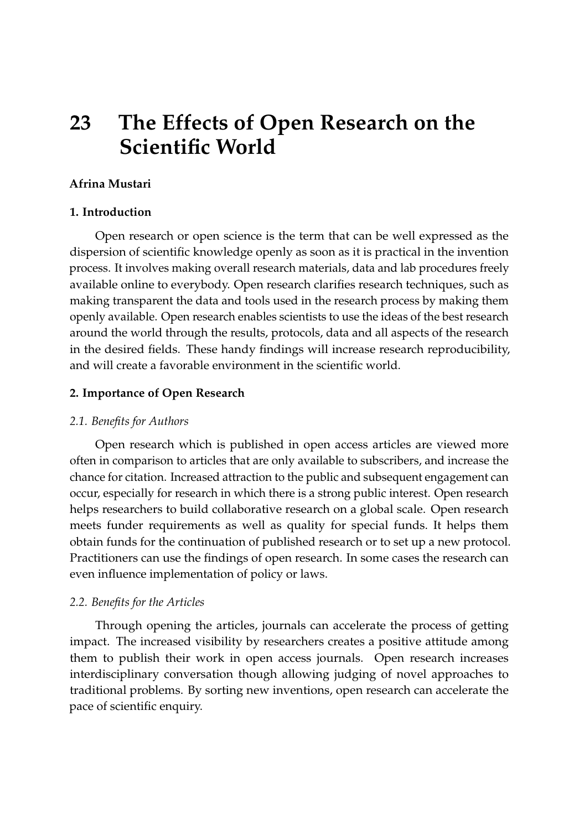# **23 The Effects of Open Research on the Scientific World**

### **Afrina Mustari**

#### **1. Introduction**

Open research or open science is the term that can be well expressed as the dispersion of scientific knowledge openly as soon as it is practical in the invention process. It involves making overall research materials, data and lab procedures freely available online to everybody. Open research clarifies research techniques, such as making transparent the data and tools used in the research process by making them openly available. Open research enables scientists to use the ideas of the best research around the world through the results, protocols, data and all aspects of the research in the desired fields. These handy findings will increase research reproducibility, and will create a favorable environment in the scientific world.

#### **2. Importance of Open Research**

#### *2.1. Benefits for Authors*

Open research which is published in open access articles are viewed more often in comparison to articles that are only available to subscribers, and increase the chance for citation. Increased attraction to the public and subsequent engagement can occur, especially for research in which there is a strong public interest. Open research helps researchers to build collaborative research on a global scale. Open research meets funder requirements as well as quality for special funds. It helps them obtain funds for the continuation of published research or to set up a new protocol. Practitioners can use the findings of open research. In some cases the research can even influence implementation of policy or laws.

#### *2.2. Benefits for the Articles*

Through opening the articles, journals can accelerate the process of getting impact. The increased visibility by researchers creates a positive attitude among them to publish their work in open access journals. Open research increases interdisciplinary conversation though allowing judging of novel approaches to traditional problems. By sorting new inventions, open research can accelerate the pace of scientific enquiry.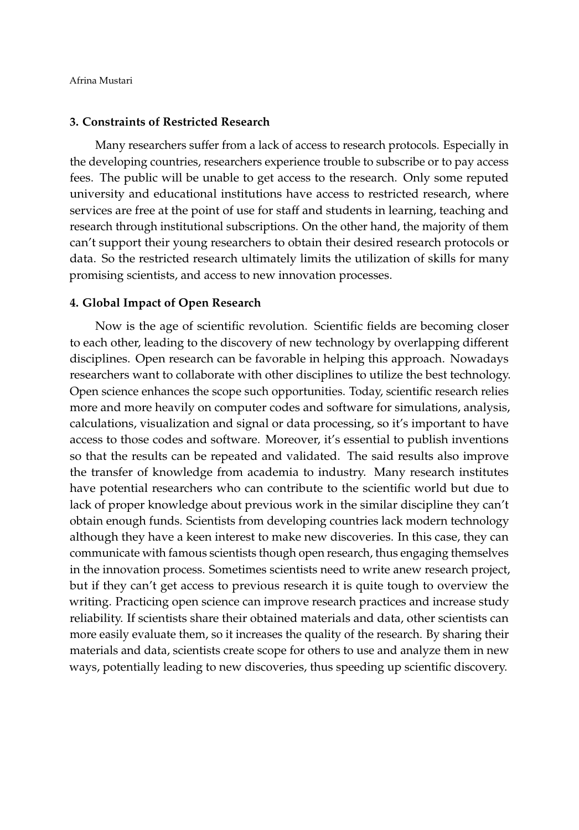Afrina Mustari

#### **3. Constraints of Restricted Research**

Many researchers suffer from a lack of access to research protocols. Especially in the developing countries, researchers experience trouble to subscribe or to pay access fees. The public will be unable to get access to the research. Only some reputed university and educational institutions have access to restricted research, where services are free at the point of use for staff and students in learning, teaching and research through institutional subscriptions. On the other hand, the majority of them can't support their young researchers to obtain their desired research protocols or data. So the restricted research ultimately limits the utilization of skills for many promising scientists, and access to new innovation processes.

#### **4. Global Impact of Open Research**

Now is the age of scientific revolution. Scientific fields are becoming closer to each other, leading to the discovery of new technology by overlapping different disciplines. Open research can be favorable in helping this approach. Nowadays researchers want to collaborate with other disciplines to utilize the best technology. Open science enhances the scope such opportunities. Today, scientific research relies more and more heavily on computer codes and software for simulations, analysis, calculations, visualization and signal or data processing, so it's important to have access to those codes and software. Moreover, it's essential to publish inventions so that the results can be repeated and validated. The said results also improve the transfer of knowledge from academia to industry. Many research institutes have potential researchers who can contribute to the scientific world but due to lack of proper knowledge about previous work in the similar discipline they can't obtain enough funds. Scientists from developing countries lack modern technology although they have a keen interest to make new discoveries. In this case, they can communicate with famous scientists though open research, thus engaging themselves in the innovation process. Sometimes scientists need to write anew research project, but if they can't get access to previous research it is quite tough to overview the writing. Practicing open science can improve research practices and increase study reliability. If scientists share their obtained materials and data, other scientists can more easily evaluate them, so it increases the quality of the research. By sharing their materials and data, scientists create scope for others to use and analyze them in new ways, potentially leading to new discoveries, thus speeding up scientific discovery.